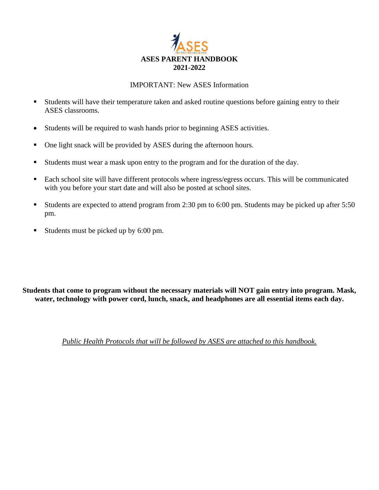

#### IMPORTANT: New ASES Information

- **EXECUTE:** Students will have their temperature taken and asked routine questions before gaining entry to their ASES classrooms.
- Students will be required to wash hands prior to beginning ASES activities.
- One light snack will be provided by ASES during the afternoon hours.
- Students must wear a mask upon entry to the program and for the duration of the day.
- Each school site will have different protocols where ingress/egress occurs. This will be communicated with you before your start date and will also be posted at school sites.
- Students are expected to attend program from 2:30 pm to 6:00 pm. Students may be picked up after 5:50 pm.
- Students must be picked up by 6:00 pm.

**Students that come to program without the necessary materials will NOT gain entry into program. Mask, water, technology with power cord, lunch, snack, and headphones are all essential items each day.**

*Public Health Protocols that will be followed by ASES are attached to this handbook.*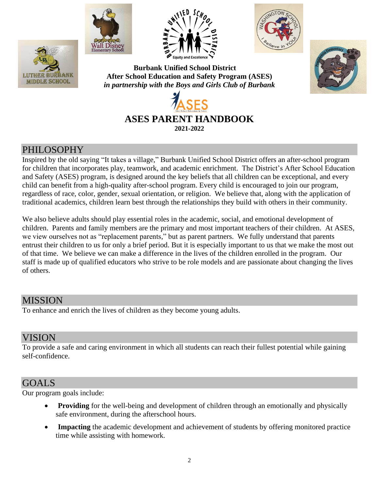







**Burbank Unified School District After School Education and Safety Program (ASES)** *in partnership with the Boys and Girls Club of Burbank*





### PHILOSOPHY

Inspired by the old saying "It takes a village," Burbank Unified School District offers an after-school program for children that incorporates play, teamwork, and academic enrichment. The District's After School Education and Safety (ASES) program, is designed around the key beliefs that all children can be exceptional, and every child can benefit from a high-quality after-school program. Every child is encouraged to join our program, regardless of race, color, gender, sexual orientation, or religion. We believe that, along with the application of traditional academics, children learn best through the relationships they build with others in their community.

We also believe adults should play essential roles in the academic, social, and emotional development of children. Parents and family members are the primary and most important teachers of their children. At ASES, we view ourselves not as "replacement parents," but as parent partners. We fully understand that parents entrust their children to us for only a brief period. But it is especially important to us that we make the most out of that time. We believe we can make a difference in the lives of the children enrolled in the program. Our staff is made up of qualified educators who strive to be role models and are passionate about changing the lives of others.

### MISSION

To enhance and enrich the lives of children as they become young adults.

### VISION

To provide a safe and caring environment in which all students can reach their fullest potential while gaining self-confidence.

### GOALS

Our program goals include:

- **Providing** for the well-being and development of children through an emotionally and physically safe environment, during the afterschool hours.
- **Impacting** the academic development and achievement of students by offering monitored practice time while assisting with homework.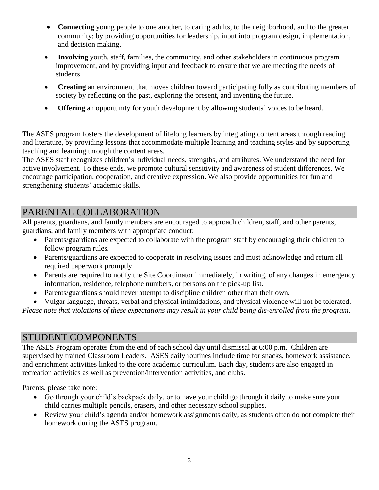- **Connecting** young people to one another, to caring adults, to the neighborhood, and to the greater community; by providing opportunities for leadership, input into program design, implementation, and decision making.
- **Involving** youth, staff, families, the community, and other stakeholders in continuous program improvement, and by providing input and feedback to ensure that we are meeting the needs of students.
- **Creating** an environment that moves children toward participating fully as contributing members of society by reflecting on the past, exploring the present, and inventing the future.
- **Offering** an opportunity for youth development by allowing students' voices to be heard.

The ASES program fosters the development of lifelong learners by integrating content areas through reading and literature, by providing lessons that accommodate multiple learning and teaching styles and by supporting teaching and learning through the content areas.

The ASES staff recognizes children's individual needs, strengths, and attributes. We understand the need for active involvement. To these ends, we promote cultural sensitivity and awareness of student differences. We encourage participation, cooperation, and creative expression. We also provide opportunities for fun and strengthening students' academic skills.

## PARENTAL COLLABORATION

All parents, guardians, and family members are encouraged to approach children, staff, and other parents, guardians, and family members with appropriate conduct:

- Parents/guardians are expected to collaborate with the program staff by encouraging their children to follow program rules.
- Parents/guardians are expected to cooperate in resolving issues and must acknowledge and return all required paperwork promptly.
- Parents are required to notify the Site Coordinator immediately, in writing, of any changes in emergency information, residence, telephone numbers, or persons on the pick-up list.
- Parents/guardians should never attempt to discipline children other than their own.
- Vulgar language, threats, verbal and physical intimidations, and physical violence will not be tolerated.

*Please note that violations of these expectations may result in your child being dis-enrolled from the program.* 

### STUDENT COMPONENTS

The ASES Program operates from the end of each school day until dismissal at 6:00 p.m. Children are supervised by trained Classroom Leaders. ASES daily routines include time for snacks, homework assistance, and enrichment activities linked to the core academic curriculum. Each day, students are also engaged in recreation activities as well as prevention/intervention activities, and clubs.

Parents, please take note:

- Go through your child's backpack daily, or to have your child go through it daily to make sure your child carries multiple pencils, erasers, and other necessary school supplies.
- Review your child's agenda and/or homework assignments daily, as students often do not complete their homework during the ASES program.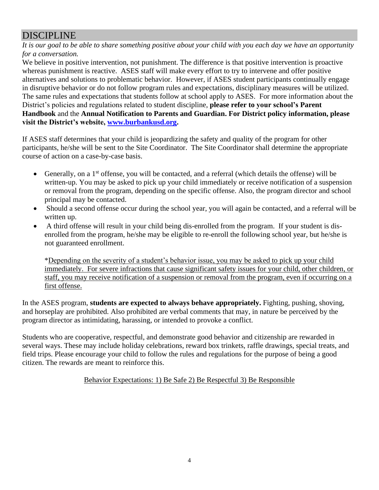# DISCIPLINE

*It is our goal to be able to share something positive about your child with you each day we have an opportunity for a conversation.* 

We believe in positive intervention, not punishment. The difference is that positive intervention is proactive whereas punishment is reactive. ASES staff will make every effort to try to intervene and offer positive alternatives and solutions to problematic behavior. However, if ASES student participants continually engage in disruptive behavior or do not follow program rules and expectations, disciplinary measures will be utilized. The same rules and expectations that students follow at school apply to ASES. For more information about the District's policies and regulations related to student discipline, **please refer to your school's Parent Handbook** and the **Annual Notification to Parents and Guardian. For District policy information, please visit the District's website, [www.burbankusd.org.](http://www.burbankusd.org/)**

If ASES staff determines that your child is jeopardizing the safety and quality of the program for other participants, he/she will be sent to the Site Coordinator. The Site Coordinator shall determine the appropriate course of action on a case-by-case basis.

- Generally, on a  $1<sup>st</sup>$  offense, you will be contacted, and a referral (which details the offense) will be written-up. You may be asked to pick up your child immediately or receive notification of a suspension or removal from the program, depending on the specific offense. Also, the program director and school principal may be contacted.
- Should a second offense occur during the school year, you will again be contacted, and a referral will be written up.
- A third offense will result in your child being dis-enrolled from the program. If your student is disenrolled from the program, he/she may be eligible to re-enroll the following school year, but he/she is not guaranteed enrollment.

\*Depending on the severity of a student's behavior issue, you may be asked to pick up your child immediately. For severe infractions that cause significant safety issues for your child, other children, or staff, you may receive notification of a suspension or removal from the program, even if occurring on a first offense.

In the ASES program, **students are expected to always behave appropriately.** Fighting, pushing, shoving, and horseplay are prohibited. Also prohibited are verbal comments that may, in nature be perceived by the program director as intimidating, harassing, or intended to provoke a conflict.

Students who are cooperative, respectful, and demonstrate good behavior and citizenship are rewarded in several ways. These may include holiday celebrations, reward box trinkets, raffle drawings, special treats, and field trips. Please encourage your child to follow the rules and regulations for the purpose of being a good citizen. The rewards are meant to reinforce this.

Behavior Expectations: 1) Be Safe 2) Be Respectful 3) Be Responsible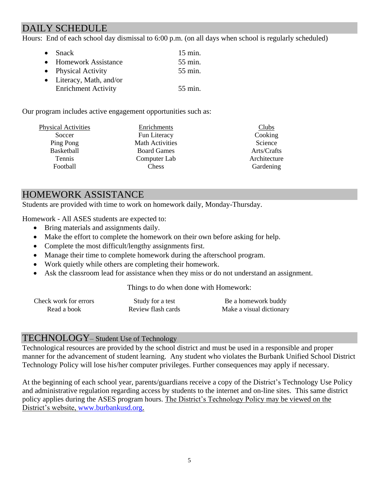# DAILY SCHEDULE

Hours: End of each school day dismissal to 6:00 p.m. (on all days when school is regularly scheduled)

| $\bullet$ Snack            | $15 \text{ min.}$ |
|----------------------------|-------------------|
| • Homework Assistance      | 55 min.           |
| • Physical Activity        | 55 min.           |
| • Literacy, Math, and/or   |                   |
| <b>Enrichment Activity</b> | 55 min.           |

Our program includes active engagement opportunities such as:

| <b>Physical Activities</b> | Enrichments            | Clubs        |
|----------------------------|------------------------|--------------|
| Soccer                     | Fun Literacy           | Cooking      |
| Ping Pong                  | <b>Math Activities</b> | Science      |
| Basketball                 | <b>Board Games</b>     | Arts/Crafts  |
| <b>Tennis</b>              | Computer Lab           | Architecture |
| Football                   | <b>Chess</b>           | Gardening    |

## HOMEWORK ASSISTANCE

Students are provided with time to work on homework daily, Monday-Thursday.

Homework - All ASES students are expected to:

- Bring materials and assignments daily.
- Make the effort to complete the homework on their own before asking for help.
- Complete the most difficult/lengthy assignments first.
- Manage their time to complete homework during the afterschool program.
- Work quietly while others are completing their homework.
- Ask the classroom lead for assistance when they miss or do not understand an assignment.

Things to do when done with Homework:

| Check work for errors | Study for a test   | Be a homework buddy      |
|-----------------------|--------------------|--------------------------|
| Read a book           | Review flash cards | Make a visual dictionary |

### TECHNOLOGY– Student Use of Technology

Technological resources are provided by the school district and must be used in a responsible and proper manner for the advancement of student learning. Any student who violates the Burbank Unified School District Technology Policy will lose his/her computer privileges. Further consequences may apply if necessary.

At the beginning of each school year, parents/guardians receive a copy of the District's Technology Use Policy and administrative regulation regarding access by students to the internet and on-line sites. This same district policy applies during the ASES program hours. The District's Technology Policy may be viewed on the District's website, [www.burbankusd.org.](http://www.burbankusd.org/)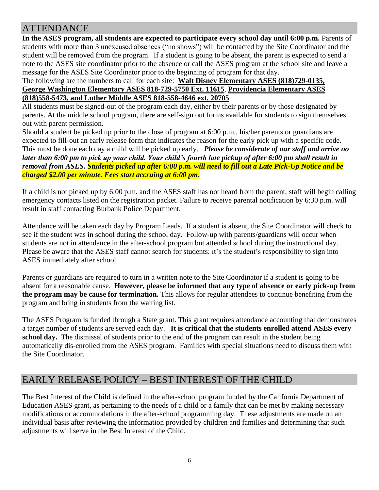## **ATTENDANCE**

**In the ASES program, all students are expected to participate every school day until 6:00 p.m.** Parents of students with more than 3 unexcused absences ("no shows") will be contacted by the Site Coordinator and the student will be removed from the program. If a student is going to be absent, the parent is expected to send a note to the ASES site coordinator prior to the absence or call the ASES program at the school site and leave a message for the ASES Site Coordinator prior to the beginning of program for that day.

#### The following are the numbers to call for each site: **Walt Disney Elementary ASES (818)729-0135, George Washington Elementary ASES 818-729-5750 Ext. 11615**, **Providencia Elementary ASES (818)558-5473, and Luther Middle ASES 818-558-4646 ext. 20705**

All students must be signed-out of the program each day, either by their parents or by those designated by parents. At the middle school program, there are self-sign out forms available for students to sign themselves out with parent permission.

Should a student be picked up prior to the close of program at 6:00 p.m., his/her parents or guardians are expected to fill-out an early release form that indicates the reason for the early pick up with a specific code. This must be done each day a child will be picked up early. *Please be considerate of our staff and arrive no later than 6:00 pm to pick up your child. Your child's fourth late pickup of after 6:00 pm shall result in removal from ASES. Students picked up after 6:00 p.m. will need to fill out a Late Pick-Up Notice and be charged \$2.00 per minute. Fees start accruing at 6:00 pm.*

If a child is not picked up by 6:00 p.m. and the ASES staff has not heard from the parent, staff will begin calling emergency contacts listed on the registration packet. Failure to receive parental notification by 6:30 p.m. will result in staff contacting Burbank Police Department.

Attendance will be taken each day by Program Leads. If a student is absent, the Site Coordinator will check to see if the student was in school during the school day. Follow-up with parents/guardians will occur when students are not in attendance in the after-school program but attended school during the instructional day. Please be aware that the ASES staff cannot search for students; it's the student's responsibility to sign into ASES immediately after school.

Parents or guardians are required to turn in a written note to the Site Coordinator if a student is going to be absent for a reasonable cause. **However, please be informed that any type of absence or early pick-up from the program may be cause for termination.** This allows for regular attendees to continue benefiting from the program and bring in students from the waiting list.

The ASES Program is funded through a State grant. This grant requires attendance accounting that demonstrates a target number of students are served each day. **It is critical that the students enrolled attend ASES every school day.** The dismissal of students prior to the end of the program can result in the student being automatically dis-enrolled from the ASES program. Families with special situations need to discuss them with the Site Coordinator.

## EARLY RELEASE POLICY – BEST INTEREST OF THE CHILD

The Best Interest of the Child is defined in the after-school program funded by the California Department of Education ASES grant, as pertaining to the needs of a child or a family that can be met by making necessary modifications or accommodations in the after-school programming day. These adjustments are made on an individual basis after reviewing the information provided by children and families and determining that such adjustments will serve in the Best Interest of the Child.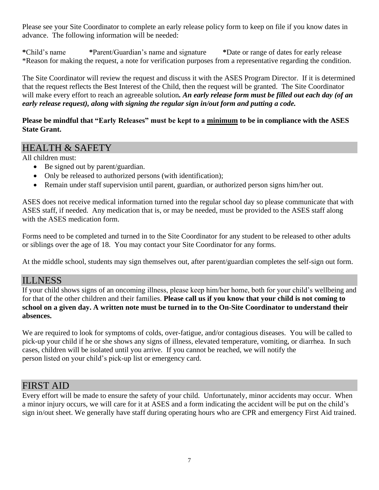Please see your Site Coordinator to complete an early release policy form to keep on file if you know dates in advance. The following information will be needed:

**\***Child's name **\***Parent/Guardian's name and signature **\***Date or range of dates for early release \*Reason for making the request, a note for verification purposes from a representative regarding the condition.

The Site Coordinator will review the request and discuss it with the ASES Program Director. If it is determined that the request reflects the Best Interest of the Child, then the request will be granted. The Site Coordinator will make every effort to reach an agreeable solution*. An early release form must be filled out each day (of an early release request), along with signing the regular sign in/out form and putting a code.* 

#### **Please be mindful that "Early Releases" must be kept to a minimum to be in compliance with the ASES State Grant.**

## HEALTH & SAFETY

All children must:

- Be signed out by parent/guardian.
- Only be released to authorized persons (with identification);
- Remain under staff supervision until parent, guardian, or authorized person signs him/her out.

ASES does not receive medical information turned into the regular school day so please communicate that with ASES staff, if needed. Any medication that is, or may be needed, must be provided to the ASES staff along with the ASES medication form.

Forms need to be completed and turned in to the Site Coordinator for any student to be released to other adults or siblings over the age of 18. You may contact your Site Coordinator for any forms.

At the middle school, students may sign themselves out, after parent/guardian completes the self-sign out form.

### ILLNESS

If your child shows signs of an oncoming illness, please keep him/her home, both for your child's wellbeing and for that of the other children and their families. **Please call us if you know that your child is not coming to school on a given day. A written note must be turned in to the On-Site Coordinator to understand their absences.** 

We are required to look for symptoms of colds, over-fatigue, and/or contagious diseases. You will be called to pick-up your child if he or she shows any signs of illness, elevated temperature, vomiting, or diarrhea. In such cases, children will be isolated until you arrive. If you cannot be reached, we will notify the person listed on your child's pick-up list or emergency card.

## FIRST AID

Every effort will be made to ensure the safety of your child. Unfortunately, minor accidents may occur. When a minor injury occurs, we will care for it at ASES and a form indicating the accident will be put on the child's sign in/out sheet. We generally have staff during operating hours who are CPR and emergency First Aid trained.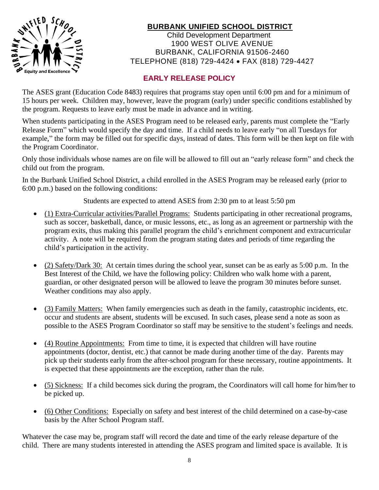

### **BURBANK UNIFIED SCHOOL DISTRICT**

 Child Development Department 1900 WEST OLIVE AVENUE BURBANK, CALIFORNIA 91506-2460 TELEPHONE (818) 729-4424 • FAX (818) 729-4427

### **EARLY RELEASE POLICY**

The ASES grant (Education Code 8483) requires that programs stay open until 6:00 pm and for a minimum of 15 hours per week. Children may, however, leave the program (early) under specific conditions established by the program. Requests to leave early must be made in advance and in writing.

When students participating in the ASES Program need to be released early, parents must complete the "Early Release Form" which would specify the day and time. If a child needs to leave early "on all Tuesdays for example," the form may be filled out for specific days, instead of dates. This form will be then kept on file with the Program Coordinator.

Only those individuals whose names are on file will be allowed to fill out an "early release form" and check the child out from the program.

In the Burbank Unified School District, a child enrolled in the ASES Program may be released early (prior to 6:00 p.m.) based on the following conditions:

Students are expected to attend ASES from 2:30 pm to at least 5:50 pm

- (1) Extra-Curricular activities/Parallel Programs: Students participating in other recreational programs, such as soccer, basketball, dance, or music lessons, etc., as long as an agreement or partnership with the program exits, thus making this parallel program the child's enrichment component and extracurricular activity. A note will be required from the program stating dates and periods of time regarding the child's participation in the activity.
- (2) Safety/Dark 30: At certain times during the school year, sunset can be as early as 5:00 p.m. In the Best Interest of the Child, we have the following policy: Children who walk home with a parent, guardian, or other designated person will be allowed to leave the program 30 minutes before sunset. Weather conditions may also apply.
- (3) Family Matters: When family emergencies such as death in the family, catastrophic incidents, etc. occur and students are absent, students will be excused. In such cases, please send a note as soon as possible to the ASES Program Coordinator so staff may be sensitive to the student's feelings and needs.
- (4) Routine Appointments: From time to time, it is expected that children will have routine appointments (doctor, dentist, etc.) that cannot be made during another time of the day. Parents may pick up their students early from the after-school program for these necessary, routine appointments. It is expected that these appointments are the exception, rather than the rule.
- (5) Sickness: If a child becomes sick during the program, the Coordinators will call home for him/her to be picked up.
- (6) Other Conditions: Especially on safety and best interest of the child determined on a case-by-case basis by the After School Program staff.

Whatever the case may be, program staff will record the date and time of the early release departure of the child. There are many students interested in attending the ASES program and limited space is available. It is